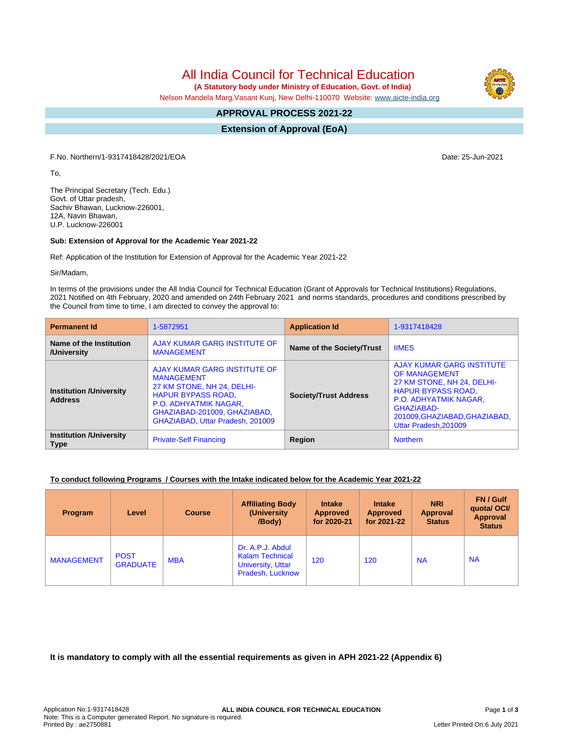All India Council for Technical Education

 **(A Statutory body under Ministry of Education, Govt. of India)**

Nelson Mandela Marg,Vasant Kunj, New Delhi-110070 Website: [www.aicte-india.org](http://www.aicte-india.org)

#### **APPROVAL PROCESS 2021-22 -**

**Extension of Approval (EoA)**

F.No. Northern/1-9317418428/2021/EOA Date: 25-Jun-2021

To,

The Principal Secretary (Tech. Edu.) Govt. of Uttar pradesh, Sachiv Bhawan, Lucknow-226001, 12A, Navin Bhawan, U.P. Lucknow-226001

## **Sub: Extension of Approval for the Academic Year 2021-22**

Ref: Application of the Institution for Extension of Approval for the Academic Year 2021-22

Sir/Madam,

In terms of the provisions under the All India Council for Technical Education (Grant of Approvals for Technical Institutions) Regulations, 2021 Notified on 4th February, 2020 and amended on 24th February 2021 and norms standards, procedures and conditions prescribed by the Council from time to time, I am directed to convey the approval to:

| <b>Permanent Id</b>                              | 1-5872951                                                                                                                                                                                                 | <b>Application Id</b>        | 1-9317418428                                                                                                                                                                                                        |  |
|--------------------------------------------------|-----------------------------------------------------------------------------------------------------------------------------------------------------------------------------------------------------------|------------------------------|---------------------------------------------------------------------------------------------------------------------------------------------------------------------------------------------------------------------|--|
| Name of the Institution<br>/University           | AJAY KUMAR GARG INSTITUTE OF<br><b>MANAGEMENT</b>                                                                                                                                                         | Name of the Society/Trust    | <b>IIMES</b>                                                                                                                                                                                                        |  |
| <b>Institution /University</b><br><b>Address</b> | AJAY KUMAR GARG INSTITUTE OF<br><b>MANAGEMENT</b><br>27 KM STONE, NH 24, DELHI-<br><b>HAPUR BYPASS ROAD,</b><br>P.O. ADHYATMIK NAGAR,<br>GHAZIABAD-201009, GHAZIABAD,<br>GHAZIABAD, Uttar Pradesh, 201009 | <b>Society/Trust Address</b> | <b>AJAY KUMAR GARG INSTITUTE</b><br>OF MANAGEMENT<br>27 KM STONE, NH 24, DELHI-<br><b>HAPUR BYPASS ROAD,</b><br><b>P.O. ADHYATMIK NAGAR.</b><br>GHAZIABAD-<br>201009, GHAZIABAD, GHAZIABAD,<br>Uttar Pradesh.201009 |  |
| <b>Institution /University</b><br><b>Type</b>    | <b>Private-Self Financing</b>                                                                                                                                                                             | Region                       | Northern                                                                                                                                                                                                            |  |

## **To conduct following Programs / Courses with the Intake indicated below for the Academic Year 2021-22**

| Program           | Level                          | <b>Course</b> | <b>Affiliating Body</b><br>(University)<br>/Body)                                          | <b>Intake</b><br><b>Approved</b><br>for 2020-21 | <b>Intake</b><br>Approved<br>for 2021-22 | <b>NRI</b><br><b>Approval</b><br><b>Status</b> | FN / Gulf<br>quotal OCI/<br>Approval<br><b>Status</b> |
|-------------------|--------------------------------|---------------|--------------------------------------------------------------------------------------------|-------------------------------------------------|------------------------------------------|------------------------------------------------|-------------------------------------------------------|
| <b>MANAGEMENT</b> | <b>POST</b><br><b>GRADUATE</b> | <b>MBA</b>    | Dr. A.P.J. Abdul<br><b>Kalam Technical</b><br><b>University, Uttar</b><br>Pradesh, Lucknow | 120                                             | 120                                      | <b>NA</b>                                      | <b>NA</b>                                             |

**It is mandatory to comply with all the essential requirements as given in APH 2021-22 (Appendix 6)**

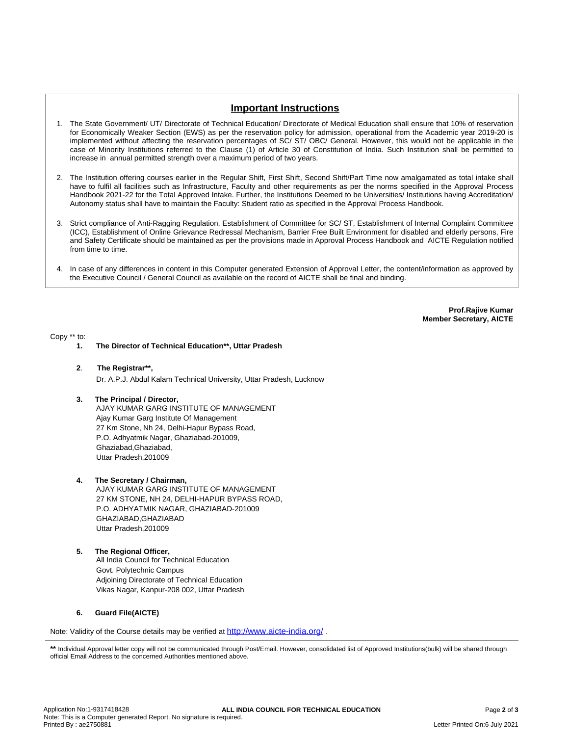# **Important Instructions**

- 1. The State Government/ UT/ Directorate of Technical Education/ Directorate of Medical Education shall ensure that 10% of reservation for Economically Weaker Section (EWS) as per the reservation policy for admission, operational from the Academic year 2019-20 is implemented without affecting the reservation percentages of SC/ ST/ OBC/ General. However, this would not be applicable in the case of Minority Institutions referred to the Clause (1) of Article 30 of Constitution of India. Such Institution shall be permitted to increase in annual permitted strength over a maximum period of two years.
- 2. The Institution offering courses earlier in the Regular Shift, First Shift, Second Shift/Part Time now amalgamated as total intake shall have to fulfil all facilities such as Infrastructure, Faculty and other requirements as per the norms specified in the Approval Process Handbook 2021-22 for the Total Approved Intake. Further, the Institutions Deemed to be Universities/ Institutions having Accreditation/ Autonomy status shall have to maintain the Faculty: Student ratio as specified in the Approval Process Handbook.
- 3. Strict compliance of Anti-Ragging Regulation, Establishment of Committee for SC/ ST, Establishment of Internal Complaint Committee (ICC), Establishment of Online Grievance Redressal Mechanism, Barrier Free Built Environment for disabled and elderly persons, Fire and Safety Certificate should be maintained as per the provisions made in Approval Process Handbook and AICTE Regulation notified from time to time.
- 4. In case of any differences in content in this Computer generated Extension of Approval Letter, the content/information as approved by the Executive Council / General Council as available on the record of AICTE shall be final and binding.

**Prof.Rajive Kumar Member Secretary, AICTE**

Copy \*\* to:

- **1. The Director of Technical Education\*\*, Uttar Pradesh**
- **2**. **The Registrar\*\*,** Dr. A.P.J. Abdul Kalam Technical University, Uttar Pradesh, Lucknow
- **3. The Principal / Director,** AJAY KUMAR GARG INSTITUTE OF MANAGEMENT Ajay Kumar Garg Institute Of Management 27 Km Stone, Nh 24, Delhi-Hapur Bypass Road, P.O. Adhyatmik Nagar, Ghaziabad-201009, Ghaziabad,Ghaziabad, Uttar Pradesh,201009
- **4. The Secretary / Chairman,** AJAY KUMAR GARG INSTITUTE OF MANAGEMENT 27 KM STONE, NH 24, DELHI-HAPUR BYPASS ROAD, P.O. ADHYATMIK NAGAR, GHAZIABAD-201009 GHAZIABAD,GHAZIABAD Uttar Pradesh,201009
- **5. The Regional Officer,** All India Council for Technical Education Govt. Polytechnic Campus Adjoining Directorate of Technical Education Vikas Nagar, Kanpur-208 002, Uttar Pradesh

### **6. Guard File(AICTE)**

Note: Validity of the Course details may be verified at **<http://www.aicte-india.org/>**.

<sup>\*\*</sup> Individual Approval letter copy will not be communicated through Post/Email. However, consolidated list of Approved Institutions(bulk) will be shared through official Email Address to the concerned Authorities mentioned above.